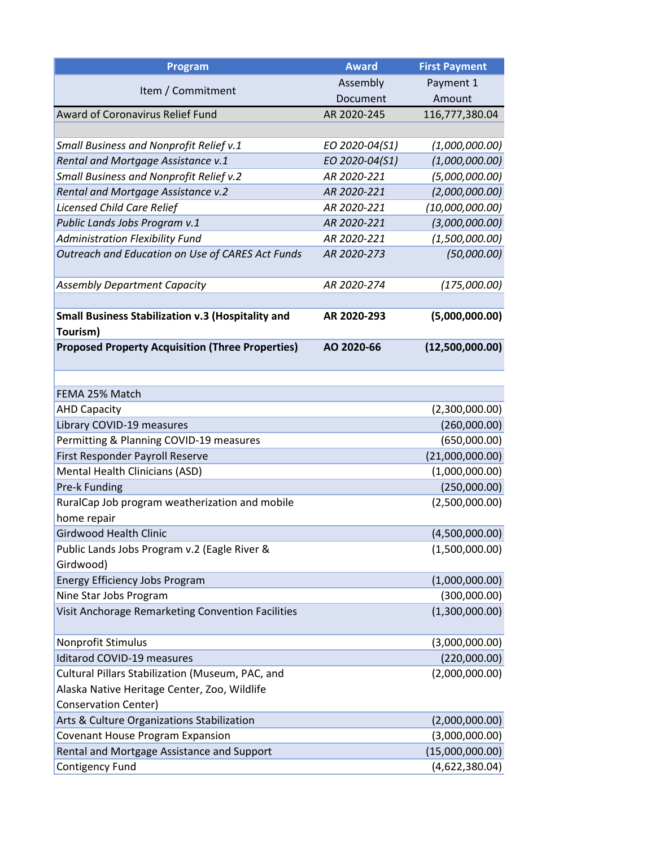| Program                                                              | <b>Award</b>   | <b>First Payment</b> |
|----------------------------------------------------------------------|----------------|----------------------|
| Item / Commitment                                                    | Assembly       | Payment 1            |
|                                                                      | Document       | Amount               |
| <b>Award of Coronavirus Relief Fund</b>                              | AR 2020-245    | 116,777,380.04       |
|                                                                      |                |                      |
| Small Business and Nonprofit Relief v.1                              | EO 2020-04(S1) | (1,000,000.00)       |
| Rental and Mortgage Assistance v.1                                   | EO 2020-04(S1) | (1,000,000.00)       |
| <b>Small Business and Nonprofit Relief v.2</b>                       | AR 2020-221    | (5,000,000.00)       |
| Rental and Mortgage Assistance v.2                                   | AR 2020-221    | (2,000,000.00)       |
| <b>Licensed Child Care Relief</b>                                    | AR 2020-221    | (10,000,000.00)      |
| Public Lands Jobs Program v.1                                        | AR 2020-221    | (3,000,000.00)       |
| <b>Administration Flexibility Fund</b>                               | AR 2020-221    | (1,500,000.00)       |
| Outreach and Education on Use of CARES Act Funds                     | AR 2020-273    | (50,000.00)          |
| <b>Assembly Department Capacity</b>                                  | AR 2020-274    | (175,000.00)         |
|                                                                      |                |                      |
| <b>Small Business Stabilization v.3 (Hospitality and</b><br>Tourism) | AR 2020-293    | (5,000,000.00)       |
| <b>Proposed Property Acquisition (Three Properties)</b>              | AO 2020-66     | (12,500,000.00)      |
|                                                                      |                |                      |
|                                                                      |                |                      |
| FEMA 25% Match                                                       |                |                      |
| <b>AHD Capacity</b>                                                  |                | (2,300,000.00)       |
| Library COVID-19 measures                                            |                | (260,000.00)         |
| Permitting & Planning COVID-19 measures                              |                | (650,000.00)         |
| First Responder Payroll Reserve                                      |                | (21,000,000.00)      |
| Mental Health Clinicians (ASD)                                       |                | (1,000,000.00)       |
| Pre-k Funding                                                        |                | (250,000.00)         |
| RuralCap Job program weatherization and mobile                       |                | (2,500,000.00)       |
| home repair                                                          |                |                      |
| Girdwood Health Clinic                                               |                | (4,500,000.00)       |
| Public Lands Jobs Program v.2 (Eagle River &                         |                | (1,500,000.00)       |
| Girdwood)                                                            |                |                      |
| <b>Energy Efficiency Jobs Program</b>                                |                | (1,000,000.00)       |
| Nine Star Jobs Program                                               |                | (300,000.00)         |
| Visit Anchorage Remarketing Convention Facilities                    |                | (1,300,000.00)       |
| Nonprofit Stimulus                                                   |                | (3,000,000.00)       |
| Iditarod COVID-19 measures                                           |                | (220,000.00)         |
| Cultural Pillars Stabilization (Museum, PAC, and                     |                | (2,000,000.00)       |
| Alaska Native Heritage Center, Zoo, Wildlife                         |                |                      |
| <b>Conservation Center)</b>                                          |                |                      |
| Arts & Culture Organizations Stabilization                           |                | (2,000,000.00)       |
| <b>Covenant House Program Expansion</b>                              |                | (3,000,000.00)       |
| Rental and Mortgage Assistance and Support                           |                | (15,000,000.00)      |
| Contigency Fund                                                      |                | (4,622,380.04)       |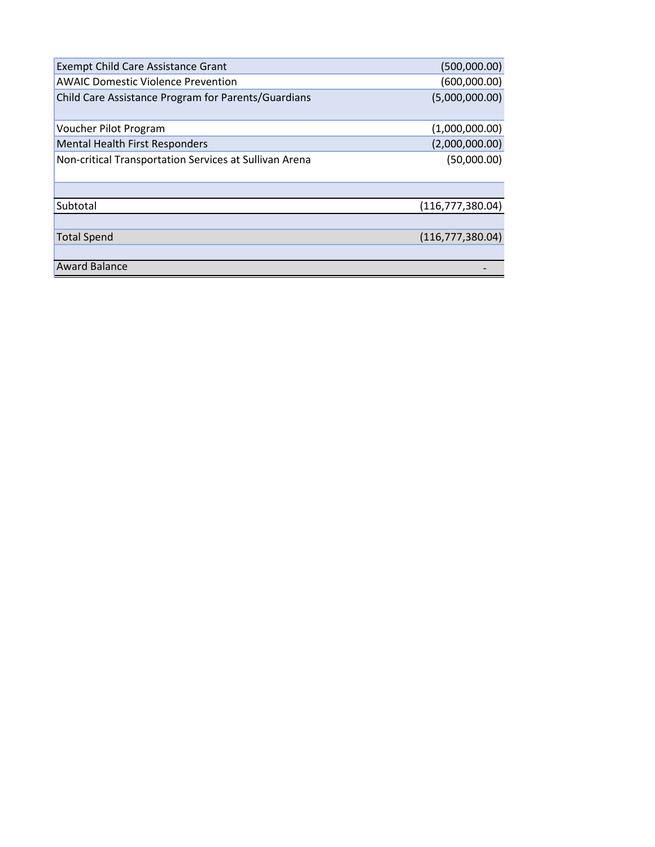| <b>Exempt Child Care Assistance Grant</b>              | (500,000.00)       |
|--------------------------------------------------------|--------------------|
| <b>AWAIC Domestic Violence Prevention</b>              | (600,000.00)       |
| Child Care Assistance Program for Parents/Guardians    | (5,000,000.00)     |
| Voucher Pilot Program                                  | (1,000,000.00)     |
| <b>Mental Health First Responders</b>                  | (2,000,000.00)     |
| Non-critical Transportation Services at Sullivan Arena | (50,000.00)        |
| Subtotal                                               | (116,777,380.04)   |
| <b>Total Spend</b>                                     | (116, 777, 380.04) |
| <b>Award Balance</b>                                   |                    |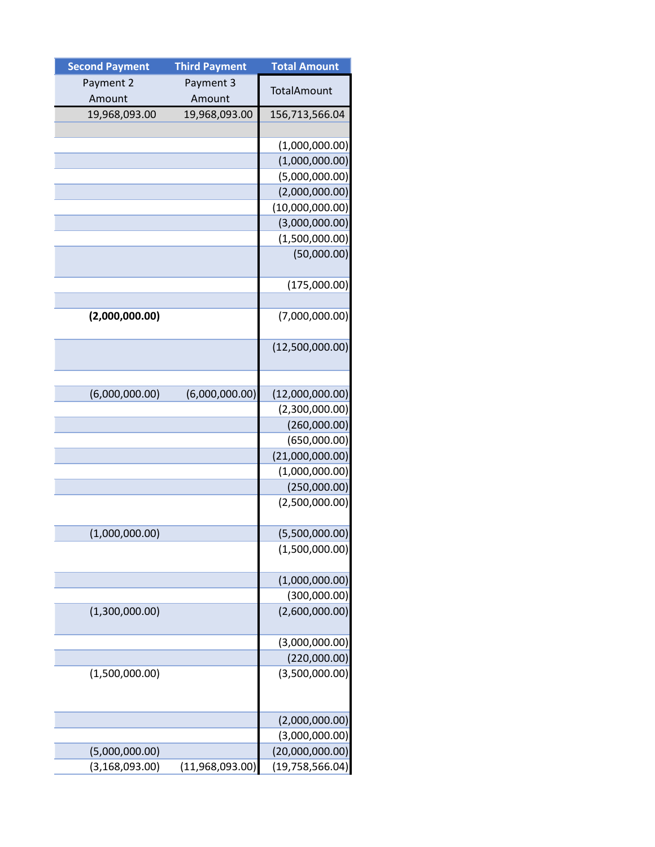| <b>Second Payment</b> | <b>Third Payment</b> | <b>Total Amount</b> |
|-----------------------|----------------------|---------------------|
| Payment 2             | Payment 3            | TotalAmount         |
| Amount                | Amount               |                     |
| 19,968,093.00         | 19,968,093.00        | 156,713,566.04      |
|                       |                      |                     |
|                       |                      | (1,000,000.00)      |
|                       |                      | (1,000,000.00)      |
|                       |                      | (5,000,000.00)      |
|                       |                      | (2,000,000.00)      |
|                       |                      | (10,000,000.00)     |
|                       |                      | (3,000,000.00)      |
|                       |                      | (1,500,000.00)      |
|                       |                      | (50,000.00)         |
|                       |                      | (175,000.00)        |
|                       |                      |                     |
| (2,000,000.00)        |                      | (7,000,000.00)      |
|                       |                      | (12,500,000.00)     |
|                       |                      |                     |
| (6,000,000.00)        | (6,000,000.00)       | (12,000,000.00)     |
|                       |                      | (2,300,000.00)      |
|                       |                      | (260,000.00)        |
|                       |                      | (650,000.00)        |
|                       |                      | (21,000,000.00)     |
|                       |                      | (1,000,000.00)      |
|                       |                      | (250,000.00)        |
|                       |                      | (2,500,000.00)      |
| (1,000,000.00)        |                      | (5,500,000.00)      |
|                       |                      | (1,500,000.00)      |
|                       |                      | (1,000,000.00)      |
|                       |                      | (300,000.00)        |
| (1,300,000.00)        |                      | (2,600,000.00)      |
|                       |                      | (3,000,000.00)      |
|                       |                      | (220,000.00)        |
| (1,500,000.00)        |                      | (3,500,000.00)      |
|                       |                      | (2,000,000.00)      |
|                       |                      | (3,000,000.00)      |
| (5,000,000.00)        |                      | (20,000,000.00)     |
| (3, 168, 093.00)      | (11,968,093.00)      | (19, 758, 566.04)   |